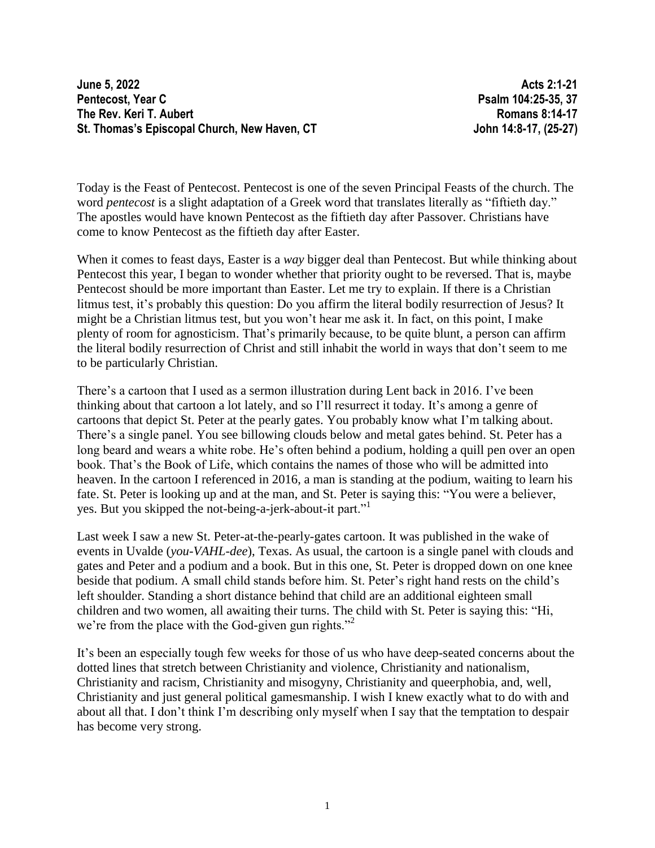**June 5, 2022 Acts 2:1-21 Pentecost, Year C Psalm 104:25-35, 37 The Rev. Keri T. Aubert Romans 8:14-17 St. Thomas's Episcopal Church, New Haven, CT John 14:8-17, (25-27)**

Today is the Feast of Pentecost. Pentecost is one of the seven Principal Feasts of the church. The word *pentecost* is a slight adaptation of a Greek word that translates literally as "fiftieth day." The apostles would have known Pentecost as the fiftieth day after Passover. Christians have come to know Pentecost as the fiftieth day after Easter.

When it comes to feast days, Easter is a *way* bigger deal than Pentecost. But while thinking about Pentecost this year, I began to wonder whether that priority ought to be reversed. That is, maybe Pentecost should be more important than Easter. Let me try to explain. If there is a Christian litmus test, it's probably this question: Do you affirm the literal bodily resurrection of Jesus? It might be a Christian litmus test, but you won't hear me ask it. In fact, on this point, I make plenty of room for agnosticism. That's primarily because, to be quite blunt, a person can affirm the literal bodily resurrection of Christ and still inhabit the world in ways that don't seem to me to be particularly Christian.

There's a cartoon that I used as a sermon illustration during Lent back in 2016. I've been thinking about that cartoon a lot lately, and so I'll resurrect it today. It's among a genre of cartoons that depict St. Peter at the pearly gates. You probably know what I'm talking about. There's a single panel. You see billowing clouds below and metal gates behind. St. Peter has a long beard and wears a white robe. He's often behind a podium, holding a quill pen over an open book. That's the Book of Life, which contains the names of those who will be admitted into heaven. In the cartoon I referenced in 2016, a man is standing at the podium, waiting to learn his fate. St. Peter is looking up and at the man, and St. Peter is saying this: "You were a believer, yes. But you skipped the not-being-a-jerk-about-it part."<sup>1</sup>

Last week I saw a new St. Peter-at-the-pearly-gates cartoon. It was published in the wake of events in Uvalde (*you-VAHL-dee*), Texas. As usual, the cartoon is a single panel with clouds and gates and Peter and a podium and a book. But in this one, St. Peter is dropped down on one knee beside that podium. A small child stands before him. St. Peter's right hand rests on the child's left shoulder. Standing a short distance behind that child are an additional eighteen small children and two women, all awaiting their turns. The child with St. Peter is saying this: "Hi, we're from the place with the God-given gun rights."

It's been an especially tough few weeks for those of us who have deep-seated concerns about the dotted lines that stretch between Christianity and violence, Christianity and nationalism, Christianity and racism, Christianity and misogyny, Christianity and queerphobia, and, well, Christianity and just general political gamesmanship. I wish I knew exactly what to do with and about all that. I don't think I'm describing only myself when I say that the temptation to despair has become very strong.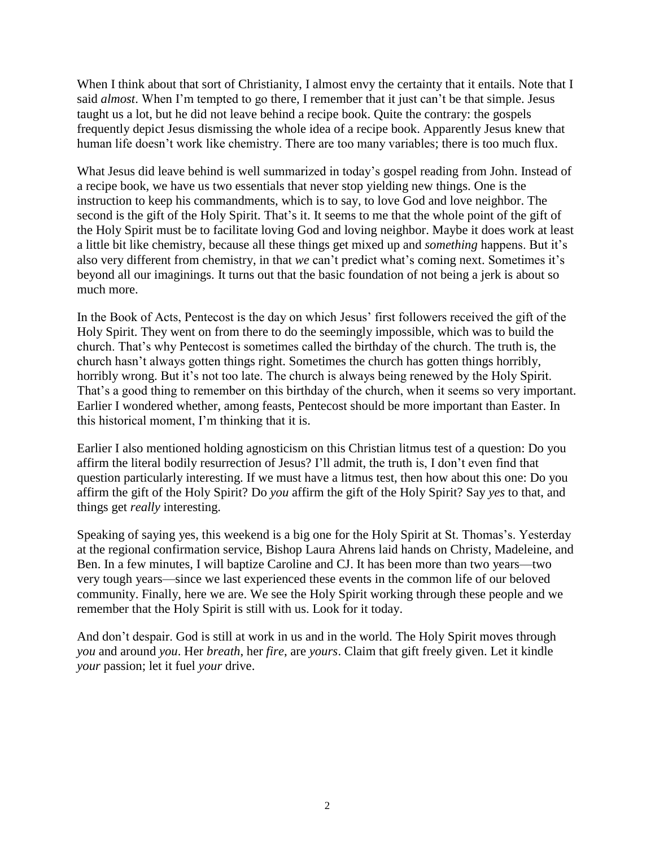When I think about that sort of Christianity, I almost envy the certainty that it entails. Note that I said *almost*. When I'm tempted to go there, I remember that it just can't be that simple. Jesus taught us a lot, but he did not leave behind a recipe book. Quite the contrary: the gospels frequently depict Jesus dismissing the whole idea of a recipe book. Apparently Jesus knew that human life doesn't work like chemistry. There are too many variables; there is too much flux.

What Jesus did leave behind is well summarized in today's gospel reading from John. Instead of a recipe book, we have us two essentials that never stop yielding new things. One is the instruction to keep his commandments, which is to say, to love God and love neighbor. The second is the gift of the Holy Spirit. That's it. It seems to me that the whole point of the gift of the Holy Spirit must be to facilitate loving God and loving neighbor. Maybe it does work at least a little bit like chemistry, because all these things get mixed up and *something* happens. But it's also very different from chemistry, in that *we* can't predict what's coming next. Sometimes it's beyond all our imaginings. It turns out that the basic foundation of not being a jerk is about so much more.

In the Book of Acts, Pentecost is the day on which Jesus' first followers received the gift of the Holy Spirit. They went on from there to do the seemingly impossible, which was to build the church. That's why Pentecost is sometimes called the birthday of the church. The truth is, the church hasn't always gotten things right. Sometimes the church has gotten things horribly, horribly wrong. But it's not too late. The church is always being renewed by the Holy Spirit. That's a good thing to remember on this birthday of the church, when it seems so very important. Earlier I wondered whether, among feasts, Pentecost should be more important than Easter. In this historical moment, I'm thinking that it is.

Earlier I also mentioned holding agnosticism on this Christian litmus test of a question: Do you affirm the literal bodily resurrection of Jesus? I'll admit, the truth is, I don't even find that question particularly interesting. If we must have a litmus test, then how about this one: Do you affirm the gift of the Holy Spirit? Do *you* affirm the gift of the Holy Spirit? Say *yes* to that, and things get *really* interesting.

Speaking of saying yes, this weekend is a big one for the Holy Spirit at St. Thomas's. Yesterday at the regional confirmation service, Bishop Laura Ahrens laid hands on Christy, Madeleine, and Ben. In a few minutes, I will baptize Caroline and CJ. It has been more than two years—two very tough years—since we last experienced these events in the common life of our beloved community. Finally, here we are. We see the Holy Spirit working through these people and we remember that the Holy Spirit is still with us. Look for it today.

And don't despair. God is still at work in us and in the world. The Holy Spirit moves through *you* and around *you*. Her *breath*, her *fire*, are *yours*. Claim that gift freely given. Let it kindle *your* passion; let it fuel *your* drive.